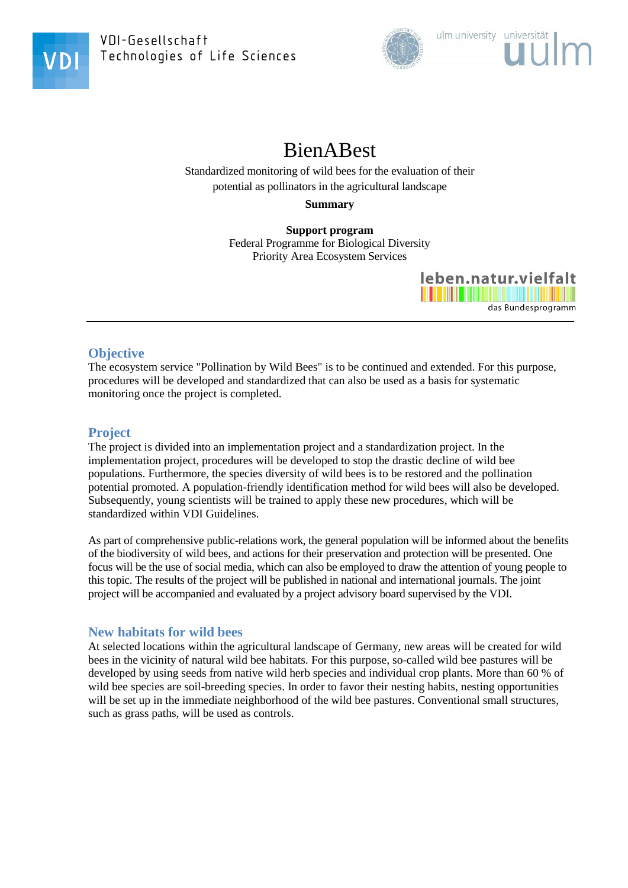

VDI-Gesellschaft Technologies of Life Sciences



# BienABest

Standardized monitoring of wild bees for the evaluation of their potential as pollinators in the agricultural landscape

**Summary**

**Support program** Federal Programme for Biological Diversity Priority Area Ecosystem Services



## **Objective**

The ecosystem service "Pollination by Wild Bees" is to be continued and extended. For this purpose, procedures will be developed and standardized that can also be used as a basis for systematic monitoring once the project is completed.

## **Project**

The project is divided into an implementation project and a standardization project. In the implementation project, procedures will be developed to stop the drastic decline of wild bee populations. Furthermore, the species diversity of wild bees is to be restored and the pollination potential promoted. A population-friendly identification method for wild bees will also be developed. Subsequently, young scientists will be trained to apply these new procedures, which will be standardized within VDI Guidelines.

As part of comprehensive public-relations work, the general population will be informed about the benefits of the biodiversity of wild bees, and actions for their preservation and protection will be presented. One focus will be the use of social media, which can also be employed to draw the attention of young people to this topic. The results of the project will be published in national and international journals. The joint project will be accompanied and evaluated by a project advisory board supervised by the VDI.

## **New habitats for wild bees**

At selected locations within the agricultural landscape of Germany, new areas will be created for wild bees in the vicinity of natural wild bee habitats. For this purpose, so-called wild bee pastures will be developed by using seeds from native wild herb species and individual crop plants. More than 60 % of wild bee species are soil-breeding species. In order to favor their nesting habits, nesting opportunities will be set up in the immediate neighborhood of the wild bee pastures. Conventional small structures, such as grass paths, will be used as controls.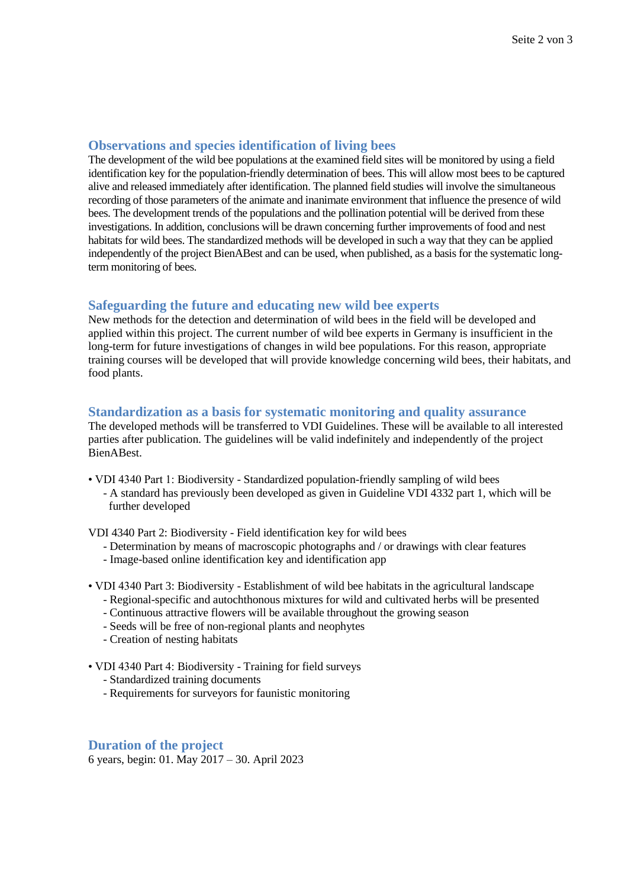#### **Observations and species identification of living bees**

The development of the wild bee populations at the examined field sites will be monitored by using a field identification key for the population-friendly determination of bees. This will allow most bees to be captured alive and released immediately after identification. The planned field studies will involve the simultaneous recording of those parameters of the animate and inanimate environment that influence the presence of wild bees. The development trends of the populations and the pollination potential will be derived from these investigations. In addition, conclusions will be drawn concerning further improvements of food and nest habitats for wild bees. The standardized methods will be developed in such a way that they can be applied independently of the project BienABest and can be used, when published, as a basis for the systematic longterm monitoring of bees.

### **Safeguarding the future and educating new wild bee experts**

New methods for the detection and determination of wild bees in the field will be developed and applied within this project. The current number of wild bee experts in Germany is insufficient in the long-term for future investigations of changes in wild bee populations. For this reason, appropriate training courses will be developed that will provide knowledge concerning wild bees, their habitats, and food plants.

#### **Standardization as a basis for systematic monitoring and quality assurance**

The developed methods will be transferred to VDI Guidelines. These will be available to all interested parties after publication. The guidelines will be valid indefinitely and independently of the project BienABest.

• VDI 4340 Part 1: Biodiversity - Standardized population-friendly sampling of wild bees - A standard has previously been developed as given in Guideline VDI 4332 part 1, which will be further developed

VDI 4340 Part 2: Biodiversity - Field identification key for wild bees

- Determination by means of macroscopic photographs and / or drawings with clear features
- Image-based online identification key and identification app
- VDI 4340 Part 3: Biodiversity Establishment of wild bee habitats in the agricultural landscape
	- Regional-specific and autochthonous mixtures for wild and cultivated herbs will be presented
	- Continuous attractive flowers will be available throughout the growing season
	- Seeds will be free of non-regional plants and neophytes
	- Creation of nesting habitats

• VDI 4340 Part 4: Biodiversity - Training for field surveys

- Standardized training documents
- Requirements for surveyors for faunistic monitoring

#### **Duration of the project**

6 years, begin: 01. May 2017 – 30. April 2023